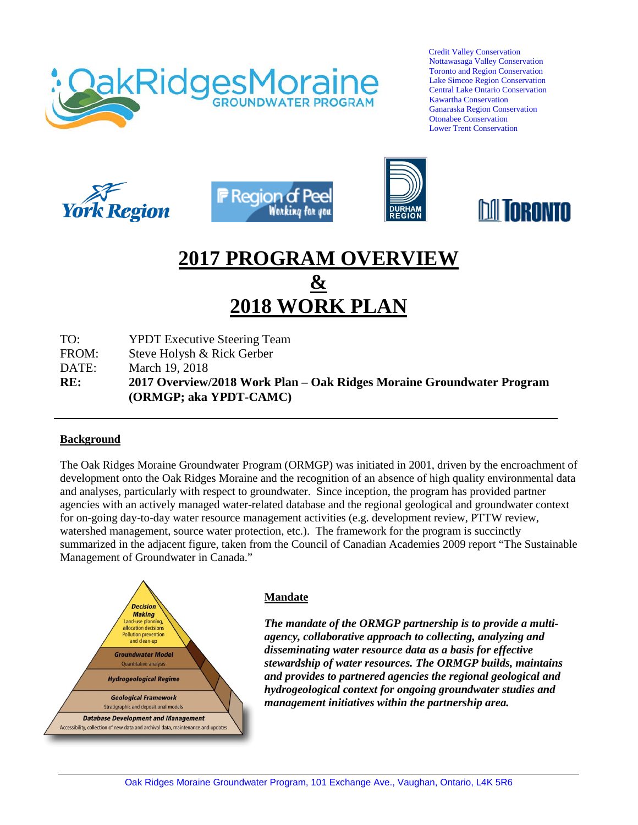

 Credit Valley Conservation Nottawasaga Valley Conservation Toronto and Region Conservation Lake Simcoe Region Conservation Central Lake Ontario Conservation Kawartha Conservation Ganaraska Region Conservation Otonabee Conservation Lower Trent Conservation









# **2017 PROGRAM OVERVIEW**

# **& 2018 WORK PLAN**

TO: YPDT Executive Steering Team

FROM: Steve Holysh & Rick Gerber

DATE: March 19, 2018

**RE: 2017 Overview/2018 Work Plan – Oak Ridges Moraine Groundwater Program (ORMGP; aka YPDT-CAMC)**

#### **Background**

The Oak Ridges Moraine Groundwater Program (ORMGP) was initiated in 2001, driven by the encroachment of development onto the Oak Ridges Moraine and the recognition of an absence of high quality environmental data and analyses, particularly with respect to groundwater. Since inception, the program has provided partner agencies with an actively managed water-related database and the regional geological and groundwater context for on-going day-to-day water resource management activities (e.g. development review, PTTW review, watershed management, source water protection, etc.). The framework for the program is succinctly summarized in the adjacent figure, taken from the Council of Canadian Academies 2009 report "The Sustainable Management of Groundwater in Canada."



## **Mandate**

*The mandate of the ORMGP partnership is to provide a multiagency, collaborative approach to collecting, analyzing and disseminating water resource data as a basis for effective stewardship of water resources. The ORMGP builds, maintains and provides to partnered agencies the regional geological and hydrogeological context for ongoing groundwater studies and management initiatives within the partnership area.*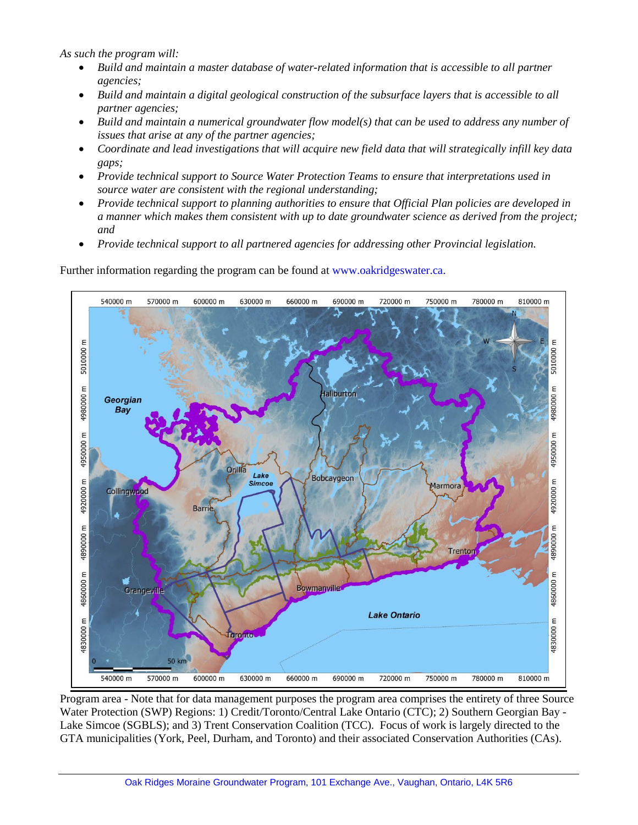*As such the program will:* 

- *Build and maintain a master database of water-related information that is accessible to all partner agencies;*
- *Build and maintain a digital geological construction of the subsurface layers that is accessible to all partner agencies;*
- Build and maintain a numerical groundwater flow model(s) that can be used to address any number of *issues that arise at any of the partner agencies;*
- *Coordinate and lead investigations that will acquire new field data that will strategically infill key data gaps;*
- *Provide technical support to Source Water Protection Teams to ensure that interpretations used in source water are consistent with the regional understanding;*
- *Provide technical support to planning authorities to ensure that Official Plan policies are developed in a manner which makes them consistent with up to date groundwater science as derived from the project; and*
- *Provide technical support to all partnered agencies for addressing other Provincial legislation.*

Further information regarding the program can be found at www.oakridgeswater.ca.



Program area - Note that for data management purposes the program area comprises the entirety of three Source Water Protection (SWP) Regions: 1) Credit/Toronto/Central Lake Ontario (CTC); 2) Southern Georgian Bay - Lake Simcoe (SGBLS); and 3) Trent Conservation Coalition (TCC). Focus of work is largely directed to the GTA municipalities (York, Peel, Durham, and Toronto) and their associated Conservation Authorities (CAs).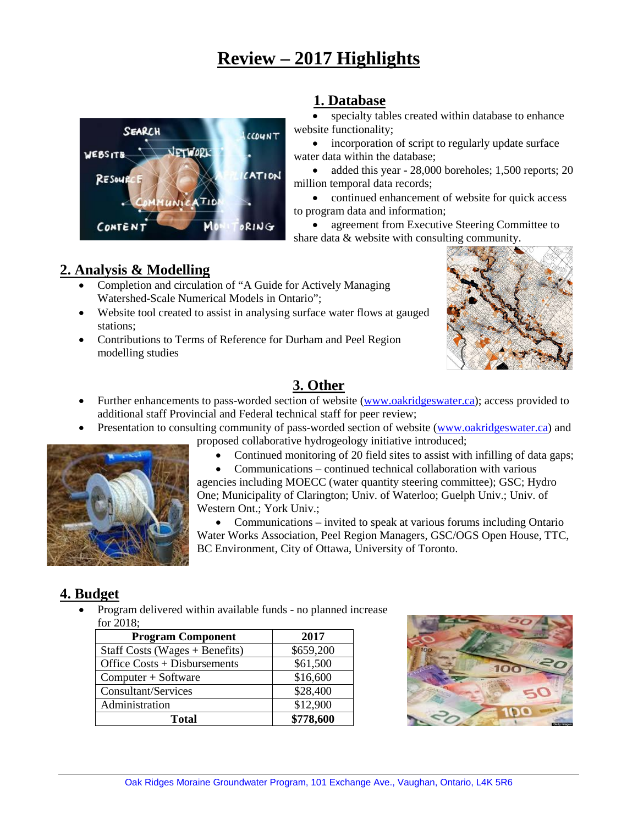# **Review – 2017 Highlights**



# **1. Database**

specialty tables created within database to enhance website functionality;

incorporation of script to regularly update surface water data within the database;

• added this year - 28,000 boreholes; 1,500 reports; 20 million temporal data records;

• continued enhancement of website for quick access to program data and information;

agreement from Executive Steering Committee to share data & website with consulting community.

# **2. Analysis & Modelling**

- Completion and circulation of "A Guide for Actively Managing Watershed-Scale Numerical Models in Ontario";
- Website tool created to assist in analysing surface water flows at gauged stations;
- Contributions to Terms of Reference for Durham and Peel Region modelling studies



# **3. Other**

- Further enhancements to pass-worded section of website [\(www.oakridgeswater.ca\)](http://www.oakridgeswater.ca/); access provided to additional staff Provincial and Federal technical staff for peer review;
- Presentation to consulting community of pass-worded section of website [\(www.oakridgeswater.ca\)](http://www.oakridgeswater.ca/) and



• Continued monitoring of 20 field sites to assist with infilling of data gaps;



• Communications – invited to speak at various forums including Ontario Water Works Association, Peel Region Managers, GSC/OGS Open House, TTC, BC Environment, City of Ottawa, University of Toronto.

# **4. Budget**

• Program delivered within available funds - no planned increase for 2018;

| <b>Program Component</b>         | 2017      |  |
|----------------------------------|-----------|--|
| Staff Costs (Wages $+$ Benefits) | \$659,200 |  |
| Office $Costs + Disbursements$   | \$61,500  |  |
| $Computer + Software$            | \$16,600  |  |
| Consultant/Services              | \$28,400  |  |
| Administration                   | \$12,900  |  |
| <b>Total</b>                     | \$778,600 |  |



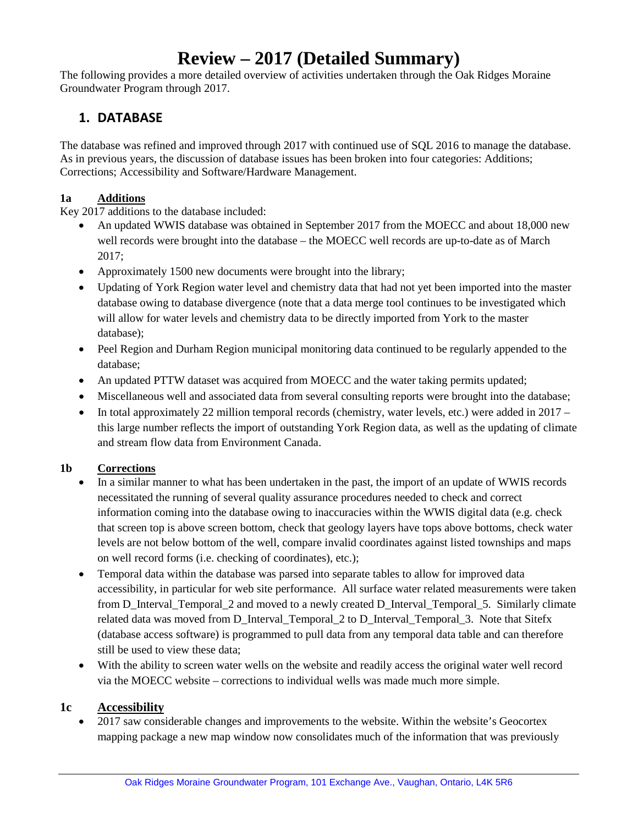# **Review – 2017 (Detailed Summary)**

The following provides a more detailed overview of activities undertaken through the Oak Ridges Moraine Groundwater Program through 2017.

# **1. DATABASE**

The database was refined and improved through 2017 with continued use of SQL 2016 to manage the database. As in previous years, the discussion of database issues has been broken into four categories: Additions; Corrections; Accessibility and Software/Hardware Management.

# **1a Additions**

Key 2017 additions to the database included:

- An updated WWIS database was obtained in September 2017 from the MOECC and about 18,000 new well records were brought into the database – the MOECC well records are up-to-date as of March 2017;
- Approximately 1500 new documents were brought into the library;
- Updating of York Region water level and chemistry data that had not yet been imported into the master database owing to database divergence (note that a data merge tool continues to be investigated which will allow for water levels and chemistry data to be directly imported from York to the master database);
- Peel Region and Durham Region municipal monitoring data continued to be regularly appended to the database;
- An updated PTTW dataset was acquired from MOECC and the water taking permits updated;
- Miscellaneous well and associated data from several consulting reports were brought into the database;
- In total approximately 22 million temporal records (chemistry, water levels, etc.) were added in  $2017$ this large number reflects the import of outstanding York Region data, as well as the updating of climate and stream flow data from Environment Canada.

# **1b Corrections**

- In a similar manner to what has been undertaken in the past, the import of an update of WWIS records necessitated the running of several quality assurance procedures needed to check and correct information coming into the database owing to inaccuracies within the WWIS digital data (e.g. check that screen top is above screen bottom, check that geology layers have tops above bottoms, check water levels are not below bottom of the well, compare invalid coordinates against listed townships and maps on well record forms (i.e. checking of coordinates), etc.);
- Temporal data within the database was parsed into separate tables to allow for improved data accessibility, in particular for web site performance. All surface water related measurements were taken from D\_Interval\_Temporal\_2 and moved to a newly created D\_Interval\_Temporal\_5. Similarly climate related data was moved from D\_Interval\_Temporal\_2 to D\_Interval\_Temporal\_3. Note that Sitefx (database access software) is programmed to pull data from any temporal data table and can therefore still be used to view these data;
- With the ability to screen water wells on the website and readily access the original water well record via the MOECC website – corrections to individual wells was made much more simple.

# **1c Accessibility**

• 2017 saw considerable changes and improvements to the website. Within the website's Geocortex mapping package a new map window now consolidates much of the information that was previously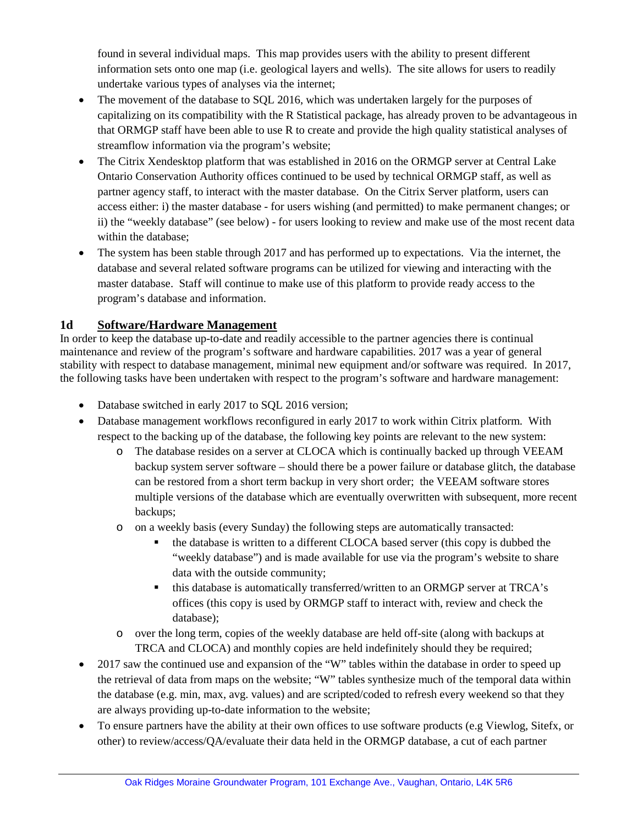found in several individual maps. This map provides users with the ability to present different information sets onto one map (i.e. geological layers and wells). The site allows for users to readily undertake various types of analyses via the internet;

- The movement of the database to SQL 2016, which was undertaken largely for the purposes of capitalizing on its compatibility with the R Statistical package, has already proven to be advantageous in that ORMGP staff have been able to use R to create and provide the high quality statistical analyses of streamflow information via the program's website;
- The Citrix Xendesktop platform that was established in 2016 on the ORMGP server at Central Lake Ontario Conservation Authority offices continued to be used by technical ORMGP staff, as well as partner agency staff, to interact with the master database. On the Citrix Server platform, users can access either: i) the master database - for users wishing (and permitted) to make permanent changes; or ii) the "weekly database" (see below) - for users looking to review and make use of the most recent data within the database;
- The system has been stable through 2017 and has performed up to expectations. Via the internet, the database and several related software programs can be utilized for viewing and interacting with the master database. Staff will continue to make use of this platform to provide ready access to the program's database and information.

# **1d Software/Hardware Management**

In order to keep the database up-to-date and readily accessible to the partner agencies there is continual maintenance and review of the program's software and hardware capabilities. 2017 was a year of general stability with respect to database management, minimal new equipment and/or software was required. In 2017, the following tasks have been undertaken with respect to the program's software and hardware management:

- Database switched in early 2017 to SQL 2016 version;
- Database management workflows reconfigured in early 2017 to work within Citrix platform. With respect to the backing up of the database, the following key points are relevant to the new system:
	- o The database resides on a server at CLOCA which is continually backed up through VEEAM backup system server software – should there be a power failure or database glitch, the database can be restored from a short term backup in very short order; the VEEAM software stores multiple versions of the database which are eventually overwritten with subsequent, more recent backups;
	- o on a weekly basis (every Sunday) the following steps are automatically transacted:
		- the database is written to a different CLOCA based server (this copy is dubbed the "weekly database") and is made available for use via the program's website to share data with the outside community;
		- this database is automatically transferred/written to an ORMGP server at TRCA's offices (this copy is used by ORMGP staff to interact with, review and check the database);
	- o over the long term, copies of the weekly database are held off-site (along with backups at TRCA and CLOCA) and monthly copies are held indefinitely should they be required;
- 2017 saw the continued use and expansion of the "W" tables within the database in order to speed up the retrieval of data from maps on the website; "W" tables synthesize much of the temporal data within the database (e.g. min, max, avg. values) and are scripted/coded to refresh every weekend so that they are always providing up-to-date information to the website;
- To ensure partners have the ability at their own offices to use software products (e.g Viewlog, Sitefx, or other) to review/access/QA/evaluate their data held in the ORMGP database, a cut of each partner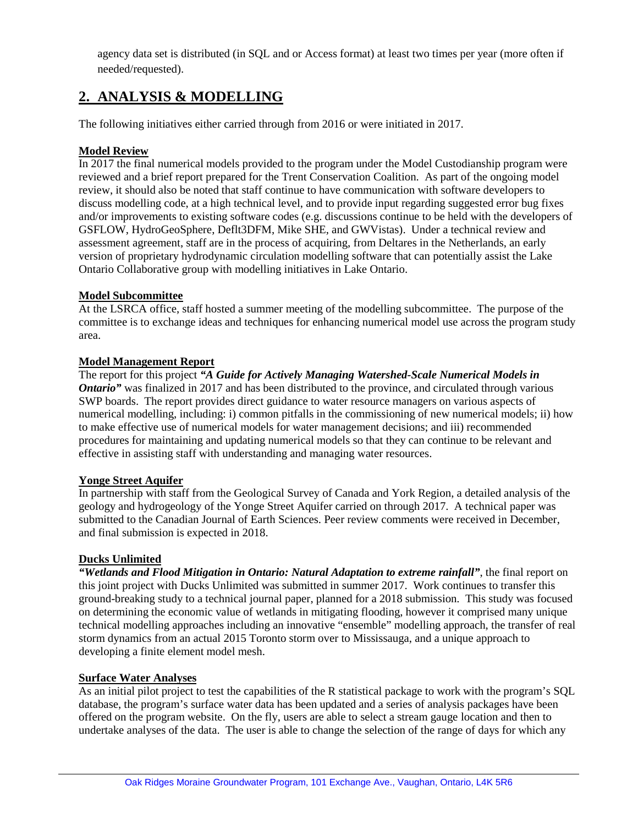agency data set is distributed (in SQL and or Access format) at least two times per year (more often if needed/requested).

# **2. ANALYSIS & MODELLING**

The following initiatives either carried through from 2016 or were initiated in 2017.

## **Model Review**

In 2017 the final numerical models provided to the program under the Model Custodianship program were reviewed and a brief report prepared for the Trent Conservation Coalition. As part of the ongoing model review, it should also be noted that staff continue to have communication with software developers to discuss modelling code, at a high technical level, and to provide input regarding suggested error bug fixes and/or improvements to existing software codes (e.g. discussions continue to be held with the developers of GSFLOW, HydroGeoSphere, Deflt3DFM, Mike SHE, and GWVistas). Under a technical review and assessment agreement, staff are in the process of acquiring, from Deltares in the Netherlands, an early version of proprietary hydrodynamic circulation modelling software that can potentially assist the Lake Ontario Collaborative group with modelling initiatives in Lake Ontario.

## **Model Subcommittee**

At the LSRCA office, staff hosted a summer meeting of the modelling subcommittee. The purpose of the committee is to exchange ideas and techniques for enhancing numerical model use across the program study area.

## **Model Management Report**

The report for this project *"A Guide for Actively Managing Watershed-Scale Numerical Models in Ontario*" was finalized in 2017 and has been distributed to the province, and circulated through various SWP boards. The report provides direct guidance to water resource managers on various aspects of numerical modelling, including: i) common pitfalls in the commissioning of new numerical models; ii) how to make effective use of numerical models for water management decisions; and iii) recommended procedures for maintaining and updating numerical models so that they can continue to be relevant and effective in assisting staff with understanding and managing water resources.

## **Yonge Street Aquifer**

In partnership with staff from the Geological Survey of Canada and York Region, a detailed analysis of the geology and hydrogeology of the Yonge Street Aquifer carried on through 2017. A technical paper was submitted to the Canadian Journal of Earth Sciences. Peer review comments were received in December, and final submission is expected in 2018.

## **Ducks Unlimited**

*"Wetlands and Flood Mitigation in Ontario: Natural Adaptation to extreme rainfall"*, the final report on this joint project with Ducks Unlimited was submitted in summer 2017. Work continues to transfer this ground-breaking study to a technical journal paper, planned for a 2018 submission. This study was focused on determining the economic value of wetlands in mitigating flooding, however it comprised many unique technical modelling approaches including an innovative "ensemble" modelling approach, the transfer of real storm dynamics from an actual 2015 Toronto storm over to Mississauga, and a unique approach to developing a finite element model mesh.

## **Surface Water Analyses**

As an initial pilot project to test the capabilities of the R statistical package to work with the program's SQL database, the program's surface water data has been updated and a series of analysis packages have been offered on the program website. On the fly, users are able to select a stream gauge location and then to undertake analyses of the data. The user is able to change the selection of the range of days for which any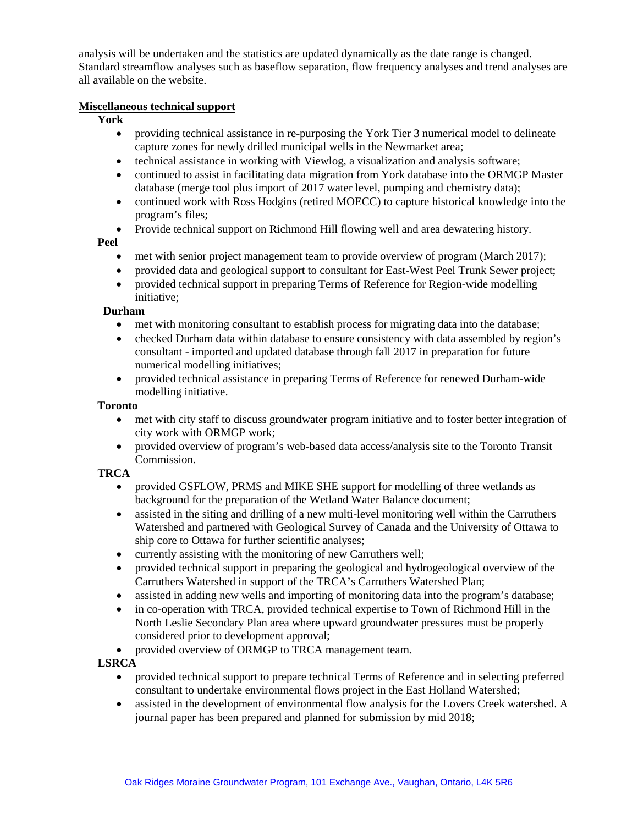analysis will be undertaken and the statistics are updated dynamically as the date range is changed. Standard streamflow analyses such as baseflow separation, flow frequency analyses and trend analyses are all available on the website.

#### **Miscellaneous technical support**

#### **York**

- providing technical assistance in re-purposing the York Tier 3 numerical model to delineate capture zones for newly drilled municipal wells in the Newmarket area;
- technical assistance in working with Viewlog, a visualization and analysis software;
- continued to assist in facilitating data migration from York database into the ORMGP Master database (merge tool plus import of 2017 water level, pumping and chemistry data);
- continued work with Ross Hodgins (retired MOECC) to capture historical knowledge into the program's files;
- Provide technical support on Richmond Hill flowing well and area dewatering history.

#### **Peel**

- met with senior project management team to provide overview of program (March 2017);
- provided data and geological support to consultant for East-West Peel Trunk Sewer project;
- provided technical support in preparing Terms of Reference for Region-wide modelling initiative;

#### **Durham**

- met with monitoring consultant to establish process for migrating data into the database;
- checked Durham data within database to ensure consistency with data assembled by region's consultant - imported and updated database through fall 2017 in preparation for future numerical modelling initiatives;
- provided technical assistance in preparing Terms of Reference for renewed Durham-wide modelling initiative.

#### **Toronto**

- met with city staff to discuss groundwater program initiative and to foster better integration of city work with ORMGP work;
- provided overview of program's web-based data access/analysis site to the Toronto Transit Commission.

#### **TRCA**

- provided GSFLOW, PRMS and MIKE SHE support for modelling of three wetlands as background for the preparation of the Wetland Water Balance document;
- assisted in the siting and drilling of a new multi-level monitoring well within the Carruthers Watershed and partnered with Geological Survey of Canada and the University of Ottawa to ship core to Ottawa for further scientific analyses;
- currently assisting with the monitoring of new Carruthers well;
- provided technical support in preparing the geological and hydrogeological overview of the Carruthers Watershed in support of the TRCA's Carruthers Watershed Plan;
- assisted in adding new wells and importing of monitoring data into the program's database;
- in co-operation with TRCA, provided technical expertise to Town of Richmond Hill in the North Leslie Secondary Plan area where upward groundwater pressures must be properly considered prior to development approval;
- provided overview of ORMGP to TRCA management team.

## **LSRCA**

- provided technical support to prepare technical Terms of Reference and in selecting preferred consultant to undertake environmental flows project in the East Holland Watershed;
- assisted in the development of environmental flow analysis for the Lovers Creek watershed. A journal paper has been prepared and planned for submission by mid 2018;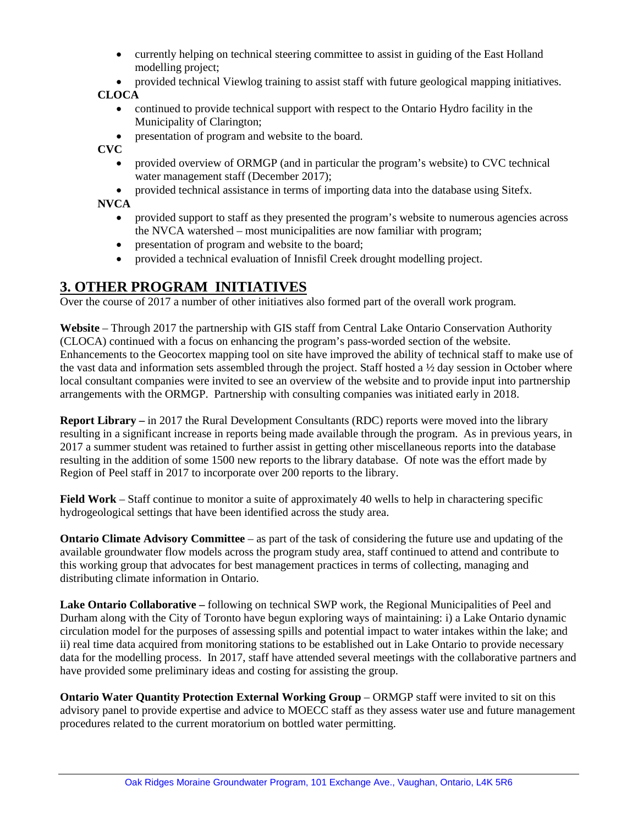- currently helping on technical steering committee to assist in guiding of the East Holland modelling project;
- provided technical Viewlog training to assist staff with future geological mapping initiatives.

## **CLOCA**

- continued to provide technical support with respect to the Ontario Hydro facility in the Municipality of Clarington;
- presentation of program and website to the board.

**CVC**

- provided overview of ORMGP (and in particular the program's website) to CVC technical water management staff (December 2017);
- provided technical assistance in terms of importing data into the database using Sitefx.

**NVCA**

- provided support to staff as they presented the program's website to numerous agencies across the NVCA watershed – most municipalities are now familiar with program;
- presentation of program and website to the board;
- provided a technical evaluation of Innisfil Creek drought modelling project.

# **3. OTHER PROGRAM INITIATIVES**

Over the course of 2017 a number of other initiatives also formed part of the overall work program.

**Website** – Through 2017 the partnership with GIS staff from Central Lake Ontario Conservation Authority (CLOCA) continued with a focus on enhancing the program's pass-worded section of the website. Enhancements to the Geocortex mapping tool on site have improved the ability of technical staff to make use of the vast data and information sets assembled through the project. Staff hosted a ½ day session in October where local consultant companies were invited to see an overview of the website and to provide input into partnership arrangements with the ORMGP. Partnership with consulting companies was initiated early in 2018.

**Report Library –** in 2017 the Rural Development Consultants (RDC) reports were moved into the library resulting in a significant increase in reports being made available through the program. As in previous years, in 2017 a summer student was retained to further assist in getting other miscellaneous reports into the database resulting in the addition of some 1500 new reports to the library database. Of note was the effort made by Region of Peel staff in 2017 to incorporate over 200 reports to the library.

**Field Work** – Staff continue to monitor a suite of approximately 40 wells to help in charactering specific hydrogeological settings that have been identified across the study area.

**Ontario Climate Advisory Committee** – as part of the task of considering the future use and updating of the available groundwater flow models across the program study area, staff continued to attend and contribute to this working group that advocates for best management practices in terms of collecting, managing and distributing climate information in Ontario.

**Lake Ontario Collaborative –** following on technical SWP work, the Regional Municipalities of Peel and Durham along with the City of Toronto have begun exploring ways of maintaining: i) a Lake Ontario dynamic circulation model for the purposes of assessing spills and potential impact to water intakes within the lake; and ii) real time data acquired from monitoring stations to be established out in Lake Ontario to provide necessary data for the modelling process. In 2017, staff have attended several meetings with the collaborative partners and have provided some preliminary ideas and costing for assisting the group.

**Ontario Water Quantity Protection External Working Group** – ORMGP staff were invited to sit on this advisory panel to provide expertise and advice to MOECC staff as they assess water use and future management procedures related to the current moratorium on bottled water permitting.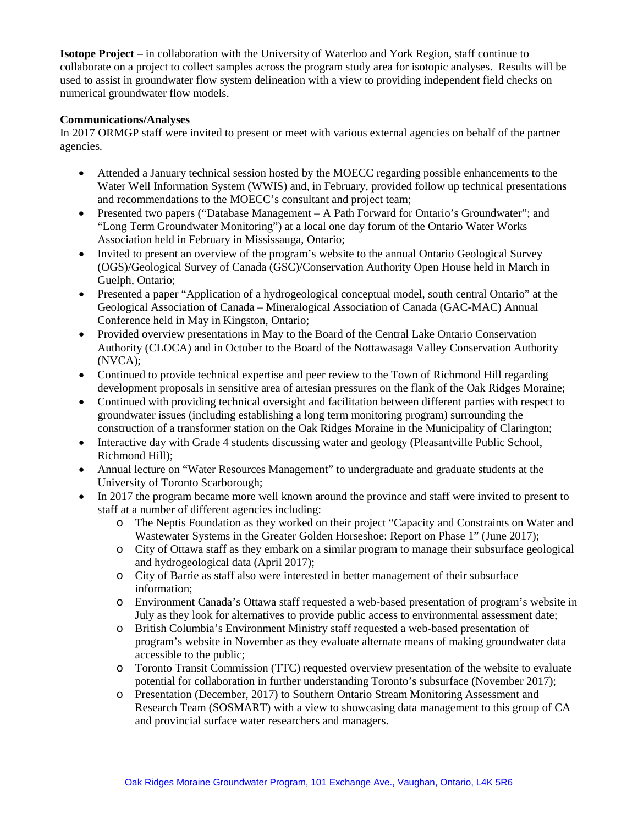**Isotope Project** – in collaboration with the University of Waterloo and York Region, staff continue to collaborate on a project to collect samples across the program study area for isotopic analyses. Results will be used to assist in groundwater flow system delineation with a view to providing independent field checks on numerical groundwater flow models.

#### **Communications/Analyses**

In 2017 ORMGP staff were invited to present or meet with various external agencies on behalf of the partner agencies.

- Attended a January technical session hosted by the MOECC regarding possible enhancements to the Water Well Information System (WWIS) and, in February, provided follow up technical presentations and recommendations to the MOECC's consultant and project team;
- Presented two papers ("Database Management A Path Forward for Ontario's Groundwater"; and "Long Term Groundwater Monitoring") at a local one day forum of the Ontario Water Works Association held in February in Mississauga, Ontario;
- Invited to present an overview of the program's website to the annual Ontario Geological Survey (OGS)/Geological Survey of Canada (GSC)/Conservation Authority Open House held in March in Guelph, Ontario;
- Presented a paper "Application of a hydrogeological conceptual model, south central Ontario" at the Geological Association of Canada – Mineralogical Association of Canada (GAC-MAC) Annual Conference held in May in Kingston, Ontario;
- Provided overview presentations in May to the Board of the Central Lake Ontario Conservation Authority (CLOCA) and in October to the Board of the Nottawasaga Valley Conservation Authority (NVCA);
- Continued to provide technical expertise and peer review to the Town of Richmond Hill regarding development proposals in sensitive area of artesian pressures on the flank of the Oak Ridges Moraine;
- Continued with providing technical oversight and facilitation between different parties with respect to groundwater issues (including establishing a long term monitoring program) surrounding the construction of a transformer station on the Oak Ridges Moraine in the Municipality of Clarington;
- Interactive day with Grade 4 students discussing water and geology (Pleasantville Public School, Richmond Hill);
- Annual lecture on "Water Resources Management" to undergraduate and graduate students at the University of Toronto Scarborough;
- In 2017 the program became more well known around the province and staff were invited to present to staff at a number of different agencies including:
	- o The Neptis Foundation as they worked on their project "Capacity and Constraints on Water and Wastewater Systems in the Greater Golden Horseshoe: Report on Phase 1" (June 2017);
	- o City of Ottawa staff as they embark on a similar program to manage their subsurface geological and hydrogeological data (April 2017);
	- o City of Barrie as staff also were interested in better management of their subsurface information;
	- o Environment Canada's Ottawa staff requested a web-based presentation of program's website in July as they look for alternatives to provide public access to environmental assessment date;
	- o British Columbia's Environment Ministry staff requested a web-based presentation of program's website in November as they evaluate alternate means of making groundwater data accessible to the public;
	- o Toronto Transit Commission (TTC) requested overview presentation of the website to evaluate potential for collaboration in further understanding Toronto's subsurface (November 2017);
	- o Presentation (December, 2017) to Southern Ontario Stream Monitoring Assessment and Research Team (SOSMART) with a view to showcasing data management to this group of CA and provincial surface water researchers and managers.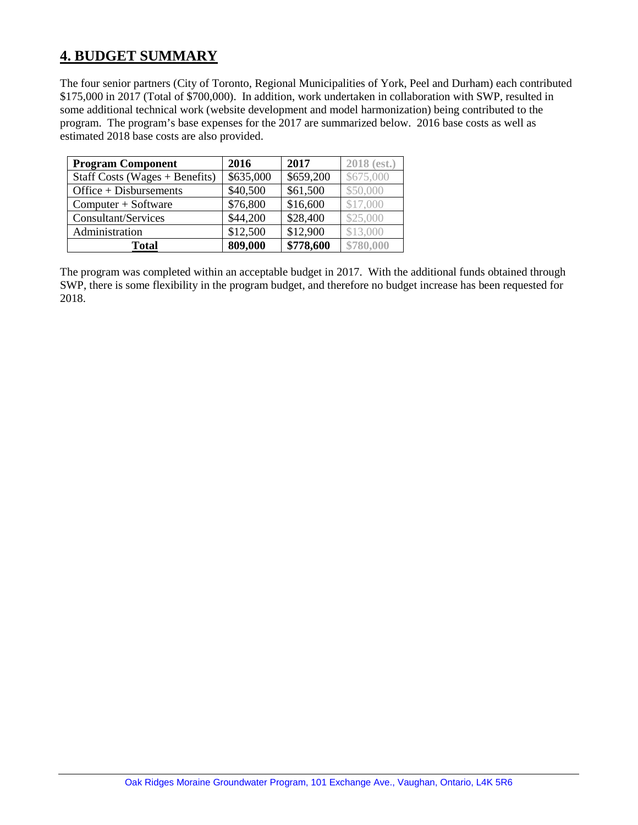# **4. BUDGET SUMMARY**

The four senior partners (City of Toronto, Regional Municipalities of York, Peel and Durham) each contributed \$175,000 in 2017 (Total of \$700,000). In addition, work undertaken in collaboration with SWP, resulted in some additional technical work (website development and model harmonization) being contributed to the program. The program's base expenses for the 2017 are summarized below. 2016 base costs as well as estimated 2018 base costs are also provided.

| <b>Program Component</b>         | 2016      | 2017      | 2018 (est.) |
|----------------------------------|-----------|-----------|-------------|
| Staff Costs (Wages $+$ Benefits) | \$635,000 | \$659,200 | \$675,000   |
| Office $+$ Disbursements         | \$40,500  | \$61,500  | \$50,000    |
| $Computer + Software$            | \$76,800  | \$16,600  | \$17,000    |
| Consultant/Services              | \$44,200  | \$28,400  | \$25,000    |
| Administration                   | \$12,500  | \$12,900  | \$13,000    |
| Total                            | 809,000   | \$778,600 | \$780,000   |

The program was completed within an acceptable budget in 2017. With the additional funds obtained through SWP, there is some flexibility in the program budget, and therefore no budget increase has been requested for 2018.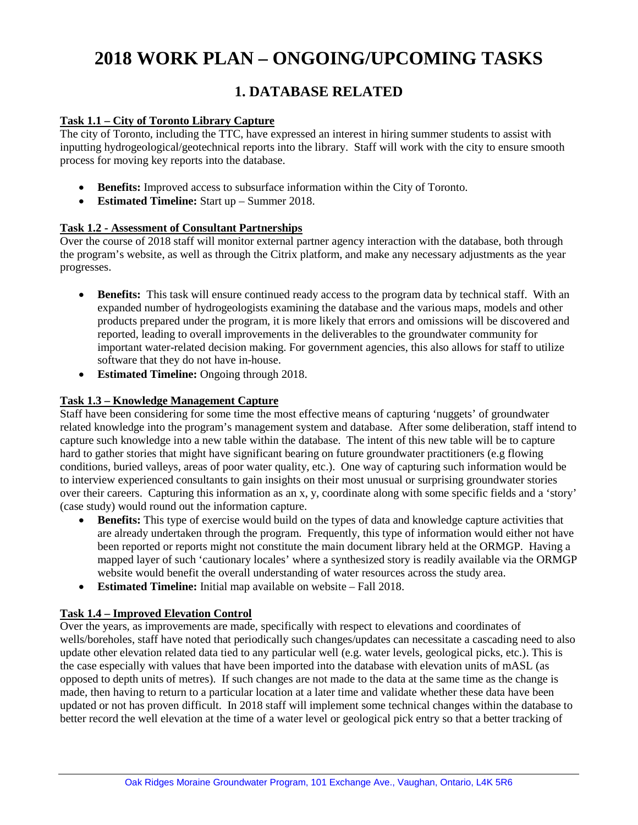# **2018 WORK PLAN – ONGOING/UPCOMING TASKS**

# **1. DATABASE RELATED**

#### **Task 1.1 – City of Toronto Library Capture**

The city of Toronto, including the TTC, have expressed an interest in hiring summer students to assist with inputting hydrogeological/geotechnical reports into the library. Staff will work with the city to ensure smooth process for moving key reports into the database.

- **Benefits:** Improved access to subsurface information within the City of Toronto.
- **Estimated Timeline:** Start up Summer 2018.

#### **Task 1.2 - Assessment of Consultant Partnerships**

Over the course of 2018 staff will monitor external partner agency interaction with the database, both through the program's website, as well as through the Citrix platform, and make any necessary adjustments as the year progresses.

- **Benefits:** This task will ensure continued ready access to the program data by technical staff. With an expanded number of hydrogeologists examining the database and the various maps, models and other products prepared under the program, it is more likely that errors and omissions will be discovered and reported, leading to overall improvements in the deliverables to the groundwater community for important water-related decision making. For government agencies, this also allows for staff to utilize software that they do not have in-house.
- **Estimated Timeline:** Ongoing through 2018.

#### **Task 1.3 – Knowledge Management Capture**

Staff have been considering for some time the most effective means of capturing 'nuggets' of groundwater related knowledge into the program's management system and database. After some deliberation, staff intend to capture such knowledge into a new table within the database. The intent of this new table will be to capture hard to gather stories that might have significant bearing on future groundwater practitioners (e.g flowing conditions, buried valleys, areas of poor water quality, etc.). One way of capturing such information would be to interview experienced consultants to gain insights on their most unusual or surprising groundwater stories over their careers. Capturing this information as an x, y, coordinate along with some specific fields and a 'story' (case study) would round out the information capture.

- **Benefits:** This type of exercise would build on the types of data and knowledge capture activities that are already undertaken through the program. Frequently, this type of information would either not have been reported or reports might not constitute the main document library held at the ORMGP. Having a mapped layer of such 'cautionary locales' where a synthesized story is readily available via the ORMGP website would benefit the overall understanding of water resources across the study area.
- **Estimated Timeline:** Initial map available on website Fall 2018.

## **Task 1.4 – Improved Elevation Control**

Over the years, as improvements are made, specifically with respect to elevations and coordinates of wells/boreholes, staff have noted that periodically such changes/updates can necessitate a cascading need to also update other elevation related data tied to any particular well (e.g. water levels, geological picks, etc.). This is the case especially with values that have been imported into the database with elevation units of mASL (as opposed to depth units of metres). If such changes are not made to the data at the same time as the change is made, then having to return to a particular location at a later time and validate whether these data have been updated or not has proven difficult. In 2018 staff will implement some technical changes within the database to better record the well elevation at the time of a water level or geological pick entry so that a better tracking of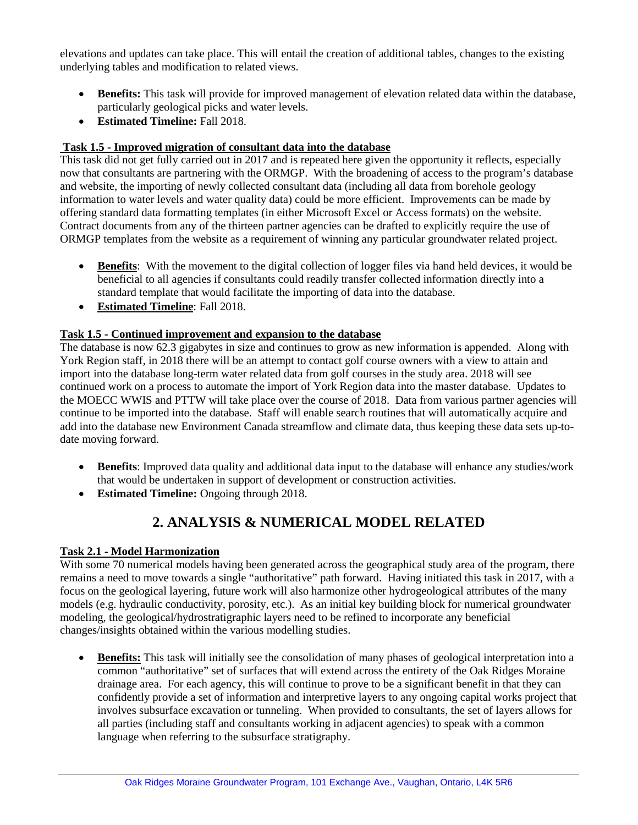elevations and updates can take place. This will entail the creation of additional tables, changes to the existing underlying tables and modification to related views.

- **Benefits:** This task will provide for improved management of elevation related data within the database, particularly geological picks and water levels.
- **Estimated Timeline:** Fall 2018.

# **Task 1.5 - Improved migration of consultant data into the database**

This task did not get fully carried out in 2017 and is repeated here given the opportunity it reflects, especially now that consultants are partnering with the ORMGP. With the broadening of access to the program's database and website, the importing of newly collected consultant data (including all data from borehole geology information to water levels and water quality data) could be more efficient. Improvements can be made by offering standard data formatting templates (in either Microsoft Excel or Access formats) on the website. Contract documents from any of the thirteen partner agencies can be drafted to explicitly require the use of ORMGP templates from the website as a requirement of winning any particular groundwater related project.

- **Benefits**: With the movement to the digital collection of logger files via hand held devices, it would be beneficial to all agencies if consultants could readily transfer collected information directly into a standard template that would facilitate the importing of data into the database.
- **Estimated Timeline**: Fall 2018.

## **Task 1.5 - Continued improvement and expansion to the database**

The database is now 62.3 gigabytes in size and continues to grow as new information is appended. Along with York Region staff, in 2018 there will be an attempt to contact golf course owners with a view to attain and import into the database long-term water related data from golf courses in the study area. 2018 will see continued work on a process to automate the import of York Region data into the master database. Updates to the MOECC WWIS and PTTW will take place over the course of 2018. Data from various partner agencies will continue to be imported into the database. Staff will enable search routines that will automatically acquire and add into the database new Environment Canada streamflow and climate data, thus keeping these data sets up-todate moving forward.

- **Benefits**: Improved data quality and additional data input to the database will enhance any studies/work that would be undertaken in support of development or construction activities.
- **Estimated Timeline:** Ongoing through 2018.

# **2. ANALYSIS & NUMERICAL MODEL RELATED**

## **Task 2.1 - Model Harmonization**

With some 70 numerical models having been generated across the geographical study area of the program, there remains a need to move towards a single "authoritative" path forward. Having initiated this task in 2017, with a focus on the geological layering, future work will also harmonize other hydrogeological attributes of the many models (e.g. hydraulic conductivity, porosity, etc.). As an initial key building block for numerical groundwater modeling, the geological/hydrostratigraphic layers need to be refined to incorporate any beneficial changes/insights obtained within the various modelling studies.

• **Benefits:** This task will initially see the consolidation of many phases of geological interpretation into a common "authoritative" set of surfaces that will extend across the entirety of the Oak Ridges Moraine drainage area. For each agency, this will continue to prove to be a significant benefit in that they can confidently provide a set of information and interpretive layers to any ongoing capital works project that involves subsurface excavation or tunneling. When provided to consultants, the set of layers allows for all parties (including staff and consultants working in adjacent agencies) to speak with a common language when referring to the subsurface stratigraphy.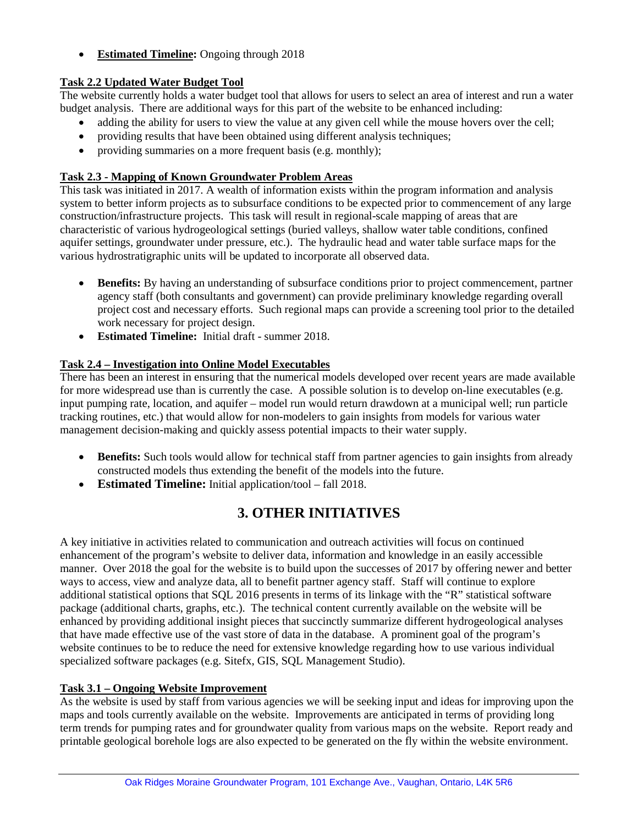• **Estimated Timeline:** Ongoing through 2018

# **Task 2.2 Updated Water Budget Tool**

The website currently holds a water budget tool that allows for users to select an area of interest and run a water budget analysis. There are additional ways for this part of the website to be enhanced including:

- adding the ability for users to view the value at any given cell while the mouse hovers over the cell;
- providing results that have been obtained using different analysis techniques;
- providing summaries on a more frequent basis (e.g. monthly);

# **Task 2.3 - Mapping of Known Groundwater Problem Areas**

This task was initiated in 2017. A wealth of information exists within the program information and analysis system to better inform projects as to subsurface conditions to be expected prior to commencement of any large construction/infrastructure projects. This task will result in regional-scale mapping of areas that are characteristic of various hydrogeological settings (buried valleys, shallow water table conditions, confined aquifer settings, groundwater under pressure, etc.). The hydraulic head and water table surface maps for the various hydrostratigraphic units will be updated to incorporate all observed data.

- **Benefits:** By having an understanding of subsurface conditions prior to project commencement, partner agency staff (both consultants and government) can provide preliminary knowledge regarding overall project cost and necessary efforts. Such regional maps can provide a screening tool prior to the detailed work necessary for project design.
- **Estimated Timeline:** Initial draft summer 2018.

# **Task 2.4 – Investigation into Online Model Executables**

There has been an interest in ensuring that the numerical models developed over recent years are made available for more widespread use than is currently the case. A possible solution is to develop on-line executables (e.g. input pumping rate, location, and aquifer – model run would return drawdown at a municipal well; run particle tracking routines, etc.) that would allow for non-modelers to gain insights from models for various water management decision-making and quickly assess potential impacts to their water supply.

- **Benefits:** Such tools would allow for technical staff from partner agencies to gain insights from already constructed models thus extending the benefit of the models into the future.
- **Estimated Timeline:** Initial application/tool fall 2018.

# **3. OTHER INITIATIVES**

A key initiative in activities related to communication and outreach activities will focus on continued enhancement of the program's website to deliver data, information and knowledge in an easily accessible manner. Over 2018 the goal for the website is to build upon the successes of 2017 by offering newer and better ways to access, view and analyze data, all to benefit partner agency staff. Staff will continue to explore additional statistical options that SQL 2016 presents in terms of its linkage with the "R" statistical software package (additional charts, graphs, etc.). The technical content currently available on the website will be enhanced by providing additional insight pieces that succinctly summarize different hydrogeological analyses that have made effective use of the vast store of data in the database. A prominent goal of the program's website continues to be to reduce the need for extensive knowledge regarding how to use various individual specialized software packages (e.g. Sitefx, GIS, SQL Management Studio).

## **Task 3.1 – Ongoing Website Improvement**

As the website is used by staff from various agencies we will be seeking input and ideas for improving upon the maps and tools currently available on the website. Improvements are anticipated in terms of providing long term trends for pumping rates and for groundwater quality from various maps on the website. Report ready and printable geological borehole logs are also expected to be generated on the fly within the website environment.